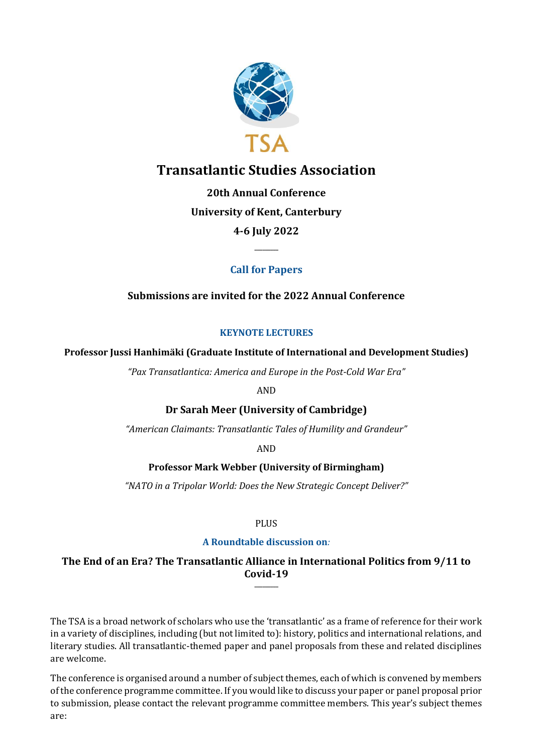

# **Transatlantic Studies Association**

**20th Annual Conference University of Kent, Canterbury 4-6 July 2022**

# **Call for Papers**

**\_\_\_\_\_\_\_\_\_**

# **Submissions are invited for the 2022 Annual Conference**

# **KEYNOTE LECTURES**

**Professor Jussi Hanhimäki (Graduate Institute of International and Development Studies)**

*"Pax Transatlantica: America and Europe in the Post-Cold War Era"*

AND

# **Dr Sarah Meer (University of Cambridge)**

*"American Claimants: Transatlantic Tales of Humility and Grandeur"*

AND

# **Professor Mark Webber (University of Birmingham)**

*"NATO in a Tripolar World: Does the New Strategic Concept Deliver?"*

PLUS

# **A Roundtable discussion on***:*

## **The End of an Era? The Transatlantic Alliance in International Politics from 9/11 to Covid-19 \_\_\_\_\_\_\_\_\_**

The TSA is a broad network of scholars who use the 'transatlantic' as a frame of reference for their work in a variety of disciplines, including (but not limited to): history, politics and international relations, and literary studies. All transatlantic-themed paper and panel proposals from these and related disciplines are welcome.

The conference is organised around a number of subject themes, each of which is convened by members of the conference programme committee. If you would like to discuss your paper or panel proposal prior to submission, please contact the relevant programme committee members. This year's subject themes are: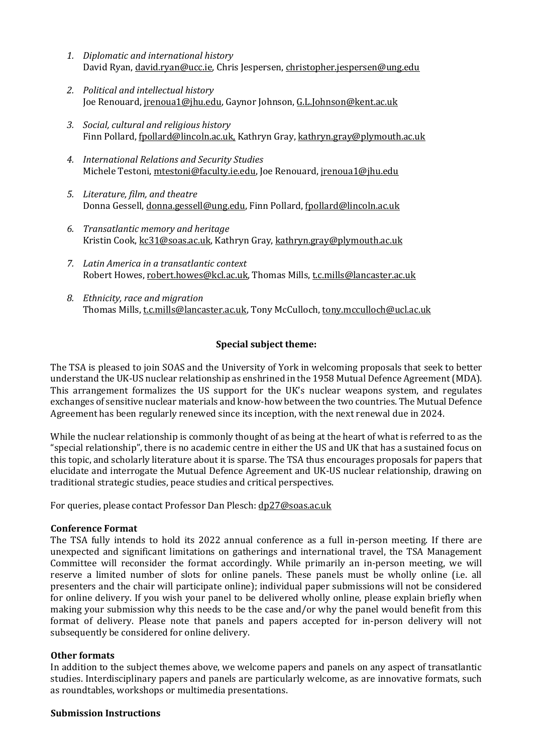- *1. Diplomatic and international history* David Ryan, [david.ryan@ucc.ie,](mailto:david.ryan@ucc.ie) Chris Jespersen, [christopher.jespersen@ung.edu](mailto:christopher.jespersen@ung.edu)
- *2. Political and intellectual history* Joe Renouard[, jrenoua1@jhu.edu,](mailto:jrenoua1@jhu.edu) Gaynor Johnson[, G.L.Johnson@kent.ac.uk](mailto:G.L.Johnson@kent.ac.uk)
- *3. Social, cultural and religious history* Finn Pollard, [fpollard@lincoln.ac.uk,](mailto:fpollard@lincoln.ac.uk) Kathryn Gray, [kathryn.gray@plymouth.ac.uk](mailto:kathryn.gray@plymouth.ac.uk)
- *4. International Relations and Security Studies* Michele Testoni, [mtestoni@faculty.ie.edu,](mailto:mtestoni@faculty.ie.edu) Joe Renouard, [jrenoua1@jhu.edu](mailto:jrenoua1@jhu.edu)
- *5. Literature, film, and theatre* Donna Gessell[, donna.gessell@ung.edu,](mailto:donna.gessell@ung.edu) Finn Pollard, [fpollard@lincoln.ac.uk](mailto:fpollard@lincoln.ac.uk)
- *6. Transatlantic memory and heritage* Kristin Cook[, kc31@soas.ac.uk,](mailto:kc31@soas.ac.uk) Kathryn Gray[, kathryn.gray@plymouth.ac.uk](mailto:kathryn.gray@plymouth.ac.uk)
- *7. Latin America in a transatlantic context* Robert Howes, [robert.howes@kcl.ac.uk,](mailto:robert.howes@kcl.ac.uk) Thomas Mills, [t.c.mills@lancaster.ac.uk](mailto:t.c.mills@lancaster.ac.uk)
- *8. Ethnicity, race and migration* Thomas Mills, [t.c.mills@lancaster.ac.uk,](mailto:t.c.mills@lancaster.ac.uk) Tony McCulloch, [tony.mcculloch@ucl.ac.uk](mailto:tony.mcculloch@ucl.ac.uk)

# **Special subject theme:**

The TSA is pleased to join SOAS and the University of York in welcoming proposals that seek to better understand the UK-US nuclear relationship as enshrined in the 1958 Mutual Defence Agreement (MDA). This arrangement formalizes the US support for the UK's nuclear weapons system, and regulates exchanges of sensitive nuclear materials and know-how between the two countries. The Mutual Defence Agreement has been regularly renewed since its inception, with the next renewal due in 2024.

While the nuclear relationship is commonly thought of as being at the heart of what is referred to as the "special relationship", there is no academic centre in either the US and UK that has a sustained focus on this topic, and scholarly literature about it is sparse. The TSA thus encourages proposals for papers that elucidate and interrogate the Mutual Defence Agreement and UK-US nuclear relationship, drawing on traditional strategic studies, peace studies and critical perspectives.

For queries, please contact Professor Dan Plesch: [dp27@soas.ac.uk](mailto:dp27@soas.ac.uk)

## **Conference Format**

The TSA fully intends to hold its 2022 annual conference as a full in-person meeting. If there are unexpected and significant limitations on gatherings and international travel, the TSA Management Committee will reconsider the format accordingly. While primarily an in-person meeting, we will reserve a limited number of slots for online panels. These panels must be wholly online (i.e. all presenters and the chair will participate online); individual paper submissions will not be considered for online delivery. If you wish your panel to be delivered wholly online, please explain briefly when making your submission why this needs to be the case and/or why the panel would benefit from this format of delivery. Please note that panels and papers accepted for in-person delivery will not subsequently be considered for online delivery.

## **Other formats**

In addition to the subject themes above, we welcome papers and panels on any aspect of transatlantic studies. Interdisciplinary papers and panels are particularly welcome, as are innovative formats, such as roundtables, workshops or multimedia presentations.

#### **Submission Instructions**